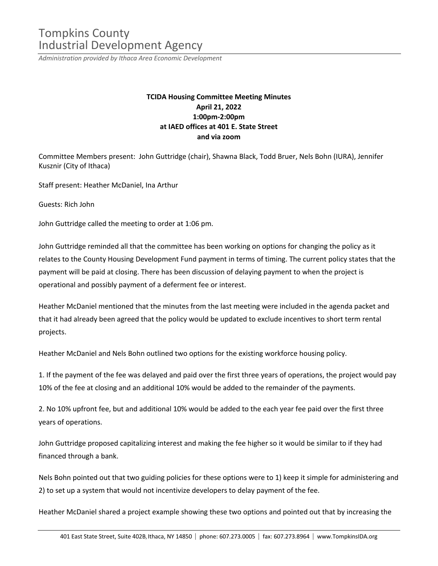## Tompkins County Industrial Development Agency

*Administration provided by Ithaca Area Economic Development*

## **TCIDA Housing Committee Meeting Minutes April 21, 2022 1:00pm-2:00pm at IAED offices at 401 E. State Street and via zoom**

Committee Members present: John Guttridge (chair), Shawna Black, Todd Bruer, Nels Bohn (IURA), Jennifer Kusznir (City of Ithaca)

Staff present: Heather McDaniel, Ina Arthur

Guests: Rich John

John Guttridge called the meeting to order at 1:06 pm.

John Guttridge reminded all that the committee has been working on options for changing the policy as it relates to the County Housing Development Fund payment in terms of timing. The current policy states that the payment will be paid at closing. There has been discussion of delaying payment to when the project is operational and possibly payment of a deferment fee or interest.

Heather McDaniel mentioned that the minutes from the last meeting were included in the agenda packet and that it had already been agreed that the policy would be updated to exclude incentives to short term rental projects.

Heather McDaniel and Nels Bohn outlined two options for the existing workforce housing policy.

1. If the payment of the fee was delayed and paid over the first three years of operations, the project would pay 10% of the fee at closing and an additional 10% would be added to the remainder of the payments.

2. No 10% upfront fee, but and additional 10% would be added to the each year fee paid over the first three years of operations.

John Guttridge proposed capitalizing interest and making the fee higher so it would be similar to if they had financed through a bank.

Nels Bohn pointed out that two guiding policies for these options were to 1) keep it simple for administering and 2) to set up a system that would not incentivize developers to delay payment of the fee.

Heather McDaniel shared a project example showing these two options and pointed out that by increasing the